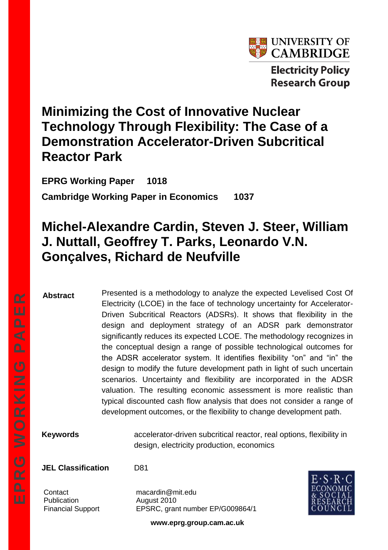

**Electricity Policy Research Group** 

# **Minimizing the Cost of Innovative Nuclear Technology Through Flexibility: The Case of a Demonstration Accelerator-Driven Subcritical Reactor Park**

**EPRG Working Paper 1018 Cambridge Working Paper in Economics 1037**

# **Michel-Alexandre Cardin, Steven J. Steer, William J. Nuttall, Geoffrey T. Parks, Leonardo V.N. Gonçalves, Richard de Neufville**

**Abstract**

Presented is a methodology to analyze the expected Levelised Cost Of Electricity (LCOE) in the face of technology uncertainty for Accelerator-Driven Subcritical Reactors (ADSRs). It shows that flexibility in the design and deployment strategy of an ADSR park demonstrator significantly reduces its expected LCOE. The methodology recognizes in the conceptual design a range of possible technological outcomes for the ADSR accelerator system. It identifies flexibility "on" and "in" the design to modify the future development path in light of such uncertain scenarios. Uncertainty and flexibility are incorporated in the ADSR valuation. The resulting economic assessment is more realistic than typical discounted cash flow analysis that does not consider a range of development outcomes, or the flexibility to change development path.

**Keywords** accelerator-driven subcritical reactor, real options, flexibility in design, electricity production, economics

**JEL Classification** D81

Publication **August 2010** 

Contact macardin@mit.edu Financial Support EPSRC, grant number EP/G009864/1



**www.eprg.group.cam.ac.uk**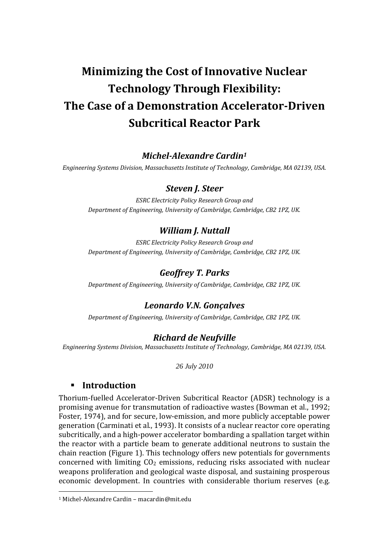# **Minimizing the Cost of Innovative Nuclear Technology Through Flexibility: The Case of a Demonstration Accelerator-Driven Subcritical Reactor Park**

#### *Michel-Alexandre Cardin<sup>1</sup>*

*Engineering Systems Division, Massachusetts Institute of Technology, Cambridge, MA 02139, USA.*

#### *Steven J. Steer*

*ESRC Electricity Policy Research Group and Department of Engineering, University of Cambridge, Cambridge, CB2 1PZ, UK.*

#### *William J. Nuttall*

*ESRC Electricity Policy Research Group and Department of Engineering, University of Cambridge, Cambridge, CB2 1PZ, UK.*

#### *Geoffrey T. Parks*

*Department of Engineering, University of Cambridge, Cambridge, CB2 1PZ, UK.*

### *Leonardo V.N. Gonçalves*

*Department of Engineering, University of Cambridge, Cambridge, CB2 1PZ, UK.*

#### *Richard de Neufville*

*Engineering Systems Division, Massachusetts Institute of Technology, Cambridge, MA 02139, USA.*

*26 July 2010*

#### **Introduction**

<u>.</u>

Thorium-fuelled Accelerator-Driven Subcritical Reactor (ADSR) technology is a promising avenue for transmutation of radioactive wastes (Bowman et al., 1992; Foster, 1974), and for secure, low-emission, and more publicly acceptable power generation (Carminati et al., 1993). It consists of a nuclear reactor core operating subcritically, and a high-power accelerator bombarding a spallation target within the reactor with a particle beam to generate additional neutrons to sustain the chain reaction [\(Figure 1\)](#page-2-0). This technology offers new potentials for governments concerned with limiting  $CO<sub>2</sub>$  emissions, reducing risks associated with nuclear weapons proliferation and geological waste disposal, and sustaining prosperous economic development. In countries with considerable thorium reserves (e.g.

<sup>1</sup> Michel-Alexandre Cardin – macardin@mit.edu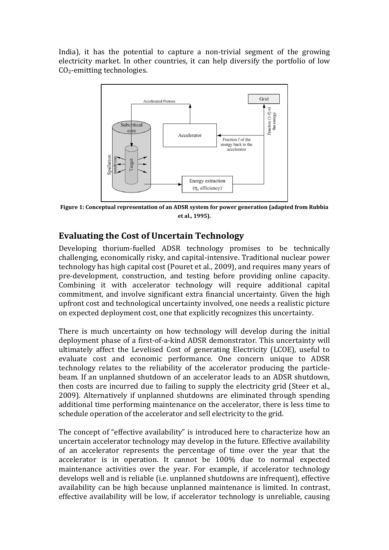India), it has the potential to capture a non-trivial segment of the growing electricity market. In other countries, it can help diversify the portfolio of low CO2-emitting technologies.



<span id="page-2-0"></span>**Figure 1: Conceptual representation of an ADSR system for power generation (adapted from Rubbia et al., 1995).**

### **Evaluating the Cost of Uncertain Technology**

Developing thorium-fuelled ADSR technology promises to be technically challenging, economically risky, and capital-intensive. Traditional nuclear power technology has high capital cost (Pouret et al., 2009), and requires many years of pre-development, construction, and testing before providing online capacity. Combining it with accelerator technology will require additional capital commitment, and involve significant extra financial uncertainty. Given the high upfront cost and technological uncertainty involved, one needs a realistic picture on expected deployment cost, one that explicitly recognizes this uncertainty.

There is much uncertainty on how technology will develop during the initial deployment phase of a first-of-a-kind ADSR demonstrator. This uncertainty will ultimately affect the Levelised Cost of generating Electricity (LCOE), useful to evaluate cost and economic performance. One concern unique to ADSR technology relates to the reliability of the accelerator producing the particlebeam. If an unplanned shutdown of an accelerator leads to an ADSR shutdown, then costs are incurred due to failing to supply the electricity grid (Steer et al., 2009). Alternatively if unplanned shutdowns are eliminated through spending additional time performing maintenance on the accelerator, there is less time to schedule operation of the accelerator and sell electricity to the grid.

The concept of "effective availability" is introduced here to characterize how an uncertain accelerator technology may develop in the future. Effective availability of an accelerator represents the percentage of time over the year that the accelerator is in operation. It cannot be 100% due to normal expected maintenance activities over the year. For example, if accelerator technology develops well and is reliable (i.e. unplanned shutdowns are infrequent), effective availability can be high because unplanned maintenance is limited. In contrast, effective availability will be low, if accelerator technology is unreliable, causing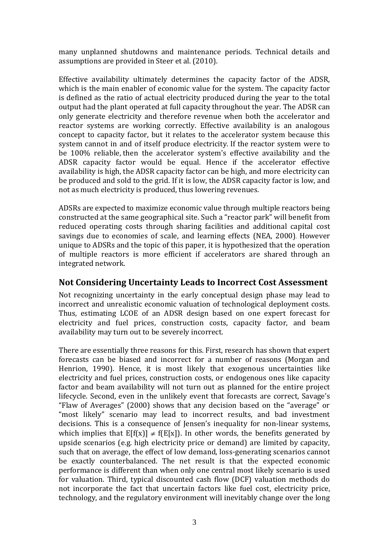many unplanned shutdowns and maintenance periods. Technical details and assumptions are provided in Steer et al. (2010).

Effective availability ultimately determines the capacity factor of the ADSR, which is the main enabler of economic value for the system. The capacity factor is defined as the ratio of actual electricity produced during the year to the total output had the plant operated at full capacity throughout the year. The ADSR can only generate electricity and therefore revenue when both the accelerator and reactor systems are working correctly. Effective availability is an analogous concept to capacity factor, but it relates to the accelerator system because this system cannot in and of itself produce electricity. If the reactor system were to be 100% reliable, then the accelerator system's effective availability and the ADSR capacity factor would be equal. Hence if the accelerator effective availability is high, the ADSR capacity factor can be high, and more electricity can be produced and sold to the grid. If it is low, the ADSR capacity factor is low, and not as much electricity is produced, thus lowering revenues.

ADSRs are expected to maximize economic value through multiple reactors being constructed at the same geographical site. Such a "reactor park" will benefit from reduced operating costs through sharing facilities and additional capital cost savings due to economies of scale, and learning effects (NEA, 2000). However unique to ADSRs and the topic of this paper, it is hypothesized that the operation of multiple reactors is more efficient if accelerators are shared through an integrated network.

### **Not Considering Uncertainty Leads to Incorrect Cost Assessment**

Not recognizing uncertainty in the early conceptual design phase may lead to incorrect and unrealistic economic valuation of technological deployment costs. Thus, estimating LCOE of an ADSR design based on one expert forecast for electricity and fuel prices, construction costs, capacity factor, and beam availability may turn out to be severely incorrect.

There are essentially three reasons for this. First, research has shown that expert forecasts can be biased and incorrect for a number of reasons (Morgan and Henrion, 1990). Hence, it is most likely that exogenous uncertainties like electricity and fuel prices, construction costs, or endogenous ones like capacity factor and beam availability will not turn out as planned for the entire project lifecycle. Second, even in the unlikely event that forecasts are correct, Savage's "Flaw of Averages" (2000) shows that any decision based on the "average" or "most likely" scenario may lead to incorrect results, and bad investment decisions. This is a consequence of Jensen's inequality for non-linear systems, which implies that  $E[f(x)] \neq f(E[x])$ . In other words, the benefits generated by upside scenarios (e.g. high electricity price or demand) are limited by capacity, such that on average, the effect of low demand, loss-generating scenarios cannot be exactly counterbalanced. The net result is that the expected economic performance is different than when only one central most likely scenario is used for valuation. Third, typical discounted cash flow (DCF) valuation methods do not incorporate the fact that uncertain factors like fuel cost, electricity price, technology, and the regulatory environment will inevitably change over the long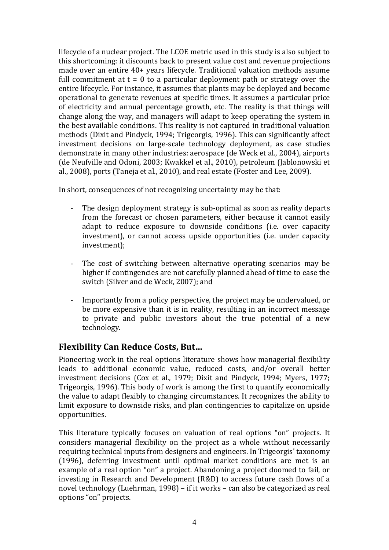lifecycle of a nuclear project. The LCOE metric used in this study is also subject to this shortcoming: it discounts back to present value cost and revenue projections made over an entire 40+ years lifecycle. Traditional valuation methods assume full commitment at  $t = 0$  to a particular deployment path or strategy over the entire lifecycle. For instance, it assumes that plants may be deployed and become operational to generate revenues at specific times. It assumes a particular price of electricity and annual percentage growth, etc. The reality is that things will change along the way, and managers will adapt to keep operating the system in the best available conditions. This reality is not captured in traditional valuation methods (Dixit and Pindyck, 1994; Trigeorgis, 1996). This can significantly affect investment decisions on large-scale technology deployment, as case studies demonstrate in many other industries: aerospace (de Weck et al., 2004), airports (de Neufville and Odoni, 2003; Kwakkel et al., 2010), petroleum (Jablonowski et al., 2008), ports (Taneja et al., 2010), and real estate (Foster and Lee, 2009).

In short, consequences of not recognizing uncertainty may be that:

- The design deployment strategy is sub-optimal as soon as reality departs from the forecast or chosen parameters, either because it cannot easily adapt to reduce exposure to downside conditions (i.e. over capacity investment), or cannot access upside opportunities (i.e. under capacity investment);
- The cost of switching between alternative operating scenarios may be higher if contingencies are not carefully planned ahead of time to ease the switch (Silver and de Weck, 2007); and
- Importantly from a policy perspective, the project may be undervalued, or be more expensive than it is in reality, resulting in an incorrect message to private and public investors about the true potential of a new technology.

# **Flexibility Can Reduce Costs, But…**

Pioneering work in the real options literature shows how managerial flexibility leads to additional economic value, reduced costs, and/or overall better investment decisions (Cox et al., 1979; Dixit and Pindyck, 1994; Myers, 1977; Trigeorgis, 1996). This body of work is among the first to quantify economically the value to adapt flexibly to changing circumstances. It recognizes the ability to limit exposure to downside risks, and plan contingencies to capitalize on upside opportunities.

This literature typically focuses on valuation of real options "on" projects. It considers managerial flexibility on the project as a whole without necessarily requiring technical inputs from designers and engineers. In Trigeorgis' taxonomy (1996), deferring investment until optimal market conditions are met is an example of a real option "on" a project. Abandoning a project doomed to fail, or investing in Research and Development (R&D) to access future cash flows of a novel technology (Luehrman, 1998) – if it works – can also be categorized as real options "on" projects.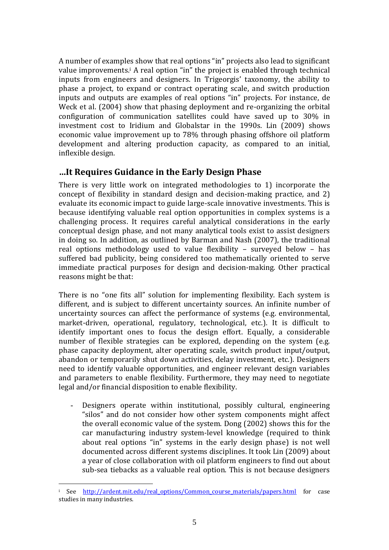A number of examples show that real options "in" projects also lead to significant value improvements.<sup>i</sup> A real option "in" the project is enabled through technical inputs from engineers and designers. In Trigeorgis' taxonomy, the ability to phase a project, to expand or contract operating scale, and switch production inputs and outputs are examples of real options "in" projects. For instance, de Weck et al. (2004) show that phasing deployment and re-organizing the orbital configuration of communication satellites could have saved up to 30% in investment cost to Iridium and Globalstar in the 1990s. Lin (2009) shows economic value improvement up to 78% through phasing offshore oil platform development and altering production capacity, as compared to an initial, inflexible design.

#### **…It Requires Guidance in the Early Design Phase**

There is very little work on integrated methodologies to 1) incorporate the concept of flexibility in standard design and decision-making practice, and 2) evaluate its economic impact to guide large-scale innovative investments. This is because identifying valuable real option opportunities in complex systems is a challenging process. It requires careful analytical considerations in the early conceptual design phase, and not many analytical tools exist to assist designers in doing so. In addition, as outlined by Barman and Nash (2007), the traditional real options methodology used to value flexibility – surveyed below – has suffered bad publicity, being considered too mathematically oriented to serve immediate practical purposes for design and decision-making. Other practical reasons might be that:

There is no "one fits all" solution for implementing flexibility. Each system is different, and is subject to different uncertainty sources. An infinite number of uncertainty sources can affect the performance of systems (e.g. environmental, market-driven, operational, regulatory, technological, etc.). It is difficult to identify important ones to focus the design effort. Equally, a considerable number of flexible strategies can be explored, depending on the system (e.g. phase capacity deployment, alter operating scale, switch product input/output, abandon or temporarily shut down activities, delay investment, etc.). Designers need to identify valuable opportunities, and engineer relevant design variables and parameters to enable flexibility. Furthermore, they may need to negotiate legal and/or financial disposition to enable flexibility.

- Designers operate within institutional, possibly cultural, engineering "silos" and do not consider how other system components might affect the overall economic value of the system. Dong (2002) shows this for the car manufacturing industry system-level knowledge (required to think about real options "in" systems in the early design phase) is not well documented across different systems disciplines. It took Lin (2009) about a year of close collaboration with oil platform engineers to find out about sub-sea tiebacks as a valuable real option. This is not because designers

1

<sup>&</sup>lt;sup>i</sup> See [http://ardent.mit.edu/real\\_options/Common\\_course\\_materials/papers.html](http://ardent.mit.edu/real_options/Common_course_materials/papers.html) for case studies in many industries.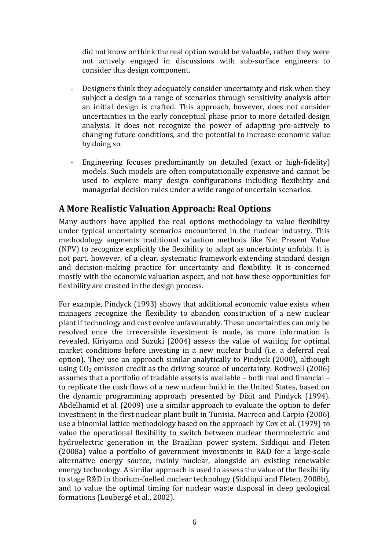did not know or think the real option would be valuable, rather they were not actively engaged in discussions with sub-surface engineers to consider this design component.

- Designers think they adequately consider uncertainty and risk when they subject a design to a range of scenarios through sensitivity analysis after an initial design is crafted. This approach, however, does not consider uncertainties in the early conceptual phase prior to more detailed design analysis. It does not recognize the power of adapting pro-actively to changing future conditions, and the potential to increase economic value by doing so.
- Engineering focuses predominantly on detailed (exact or high-fidelity) models. Such models are often computationally expensive and cannot be used to explore many design configurations including flexibility and managerial decision rules under a wide range of uncertain scenarios.

#### **A More Realistic Valuation Approach: Real Options**

Many authors have applied the real options methodology to value flexibility under typical uncertainty scenarios encountered in the nuclear industry. This methodology augments traditional valuation methods like Net Present Value (NPV) to recognize explicitly the flexibility to adapt as uncertainty unfolds. It is not part, however, of a clear, systematic framework extending standard design and decision-making practice for uncertainty and flexibility. It is concerned mostly with the economic valuation aspect, and not how these opportunities for flexibility are created in the design process.

For example, Pindyck (1993) shows that additional economic value exists when managers recognize the flexibility to abandon construction of a new nuclear plant if technology and cost evolve unfavourably. These uncertainties can only be resolved once the irreversible investment is made, as more information is revealed. Kiriyama and Suzuki (2004) assess the value of waiting for optimal market conditions before investing in a new nuclear build (i.e. a deferral real option). They use an approach similar analytically to Pindyck (2000), although using  $CO<sub>2</sub>$  emission credit as the driving source of uncertainty. Rothwell (2006) assumes that a portfolio of tradable assets is available – both real and financial – to replicate the cash flows of a new nuclear build in the United States, based on the dynamic programming approach presented by Dixit and Pindyck (1994). Abdelhamid et al. (2009) use a similar approach to evaluate the option to defer investment in the first nuclear plant built in Tunisia. Marreco and Carpio (2006) use a binomial lattice methodology based on the approach by Cox et al. (1979) to value the operational flexibility to switch between nuclear thermoelectric and hydroelectric generation in the Brazilian power system. Siddiqui and Fleten (2008a) value a portfolio of government investments in R&D for a large-scale alternative energy source, mainly nuclear, alongside an existing renewable energy technology. A similar approach is used to assess the value of the flexibility to stage R&D in thorium-fuelled nuclear technology (Siddiqui and Fleten, 2008b), and to value the optimal timing for nuclear waste disposal in deep geological formations (Loubergé et al., 2002).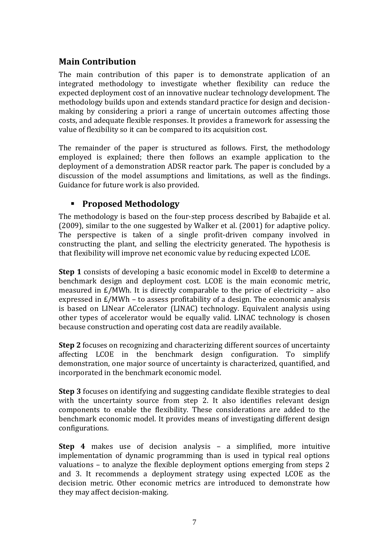## **Main Contribution**

The main contribution of this paper is to demonstrate application of an integrated methodology to investigate whether flexibility can reduce the expected deployment cost of an innovative nuclear technology development. The methodology builds upon and extends standard practice for design and decisionmaking by considering a priori a range of uncertain outcomes affecting those costs, and adequate flexible responses. It provides a framework for assessing the value of flexibility so it can be compared to its acquisition cost.

The remainder of the paper is structured as follows. First, the methodology employed is explained; there then follows an example application to the deployment of a demonstration ADSR reactor park. The paper is concluded by a discussion of the model assumptions and limitations, as well as the findings. Guidance for future work is also provided.

# **Proposed Methodology**

The methodology is based on the four-step process described by Babajide et al. (2009), similar to the one suggested by Walker et al. (2001) for adaptive policy. The perspective is taken of a single profit-driven company involved in constructing the plant, and selling the electricity generated. The hypothesis is that flexibility will improve net economic value by reducing expected LCOE.

**Step 1** consists of developing a basic economic model in Excel® to determine a benchmark design and deployment cost. LCOE is the main economic metric, measured in  $E/MWh$ . It is directly comparable to the price of electricity – also expressed in £/MWh – to assess profitability of a design. The economic analysis is based on LINear ACcelerator (LINAC) technology. Equivalent analysis using other types of accelerator would be equally valid. LINAC technology is chosen because construction and operating cost data are readily available.

**Step 2** focuses on recognizing and characterizing different sources of uncertainty affecting LCOE in the benchmark design configuration. To simplify demonstration, one major source of uncertainty is characterized, quantified, and incorporated in the benchmark economic model.

**Step 3** focuses on identifying and suggesting candidate flexible strategies to deal with the uncertainty source from step 2. It also identifies relevant design components to enable the flexibility. These considerations are added to the benchmark economic model. It provides means of investigating different design configurations.

**Step 4** makes use of decision analysis – a simplified, more intuitive implementation of dynamic programming than is used in typical real options valuations – to analyze the flexible deployment options emerging from steps 2 and 3. It recommends a deployment strategy using expected LCOE as the decision metric. Other economic metrics are introduced to demonstrate how they may affect decision-making.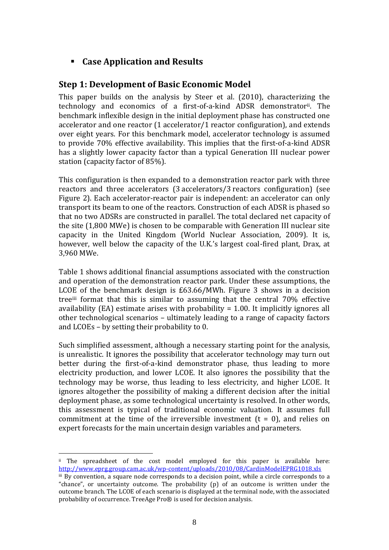**Case Application and Results**

## **Step 1: Development of Basic Economic Model**

This paper builds on the analysis by Steer et al. (2010), characterizing the technology and economics of a first-of-a-kind ADSR demonstratorii . The benchmark inflexible design in the initial deployment phase has constructed one accelerator and one reactor (1 accelerator/1 reactor configuration), and extends over eight years. For this benchmark model, accelerator technology is assumed to provide 70% effective availability. This implies that the first-of-a-kind ADSR has a slightly lower capacity factor than a typical Generation III nuclear power station (capacity factor of 85%).

This configuration is then expanded to a demonstration reactor park with three reactors and three accelerators (3 accelerators/3 reactors configuration) (see Figure 2). Each accelerator-reactor pair is independent: an accelerator can only transport its beam to one of the reactors. Construction of each ADSR is phased so that no two ADSRs are constructed in parallel. The total declared net capacity of the site (1,800 MWe) is chosen to be comparable with Generation III nuclear site capacity in the United Kingdom (World Nuclear Association, 2009). It is, however, well below the capacity of the U.K.'s largest coal-fired plant, Drax, at 3,960 MWe.

[Table 1](#page-10-0) shows additional financial assumptions associated with the construction and operation of the demonstration reactor park. Under these assumptions, the LCOE of the benchmark design is £63.66/MWh. [Figure 3](#page-9-0) shows in a decision treeiii format that this is similar to assuming that the central 70% effective availability (EA) estimate arises with probability = 1.00. It implicitly ignores all other technological scenarios – ultimately leading to a range of capacity factors and LCOEs – by setting their probability to 0.

Such simplified assessment, although a necessary starting point for the analysis, is unrealistic. It ignores the possibility that accelerator technology may turn out better during the first-of-a-kind demonstrator phase, thus leading to more electricity production, and lower LCOE. It also ignores the possibility that the technology may be worse, thus leading to less electricity, and higher LCOE. It ignores altogether the possibility of making a different decision after the initial deployment phase, as some technological uncertainty is resolved. In other words, this assessment is typical of traditional economic valuation. It assumes full commitment at the time of the irreversible investment  $(t = 0)$ , and relies on expert forecasts for the main uncertain design variables and parameters.

ii The spreadsheet of the cost model employed for this paper is available here: <http://www.eprg.group.cam.ac.uk/wp-content/uploads/2010/08/CardinModelEPRG1018.xls> iii By convention, a square node corresponds to a decision point, while a circle corresponds to a "chance", or uncertainty outcome. The probability (p) of an outcome is written under the outcome branch. The LCOE of each scenario is displayed at the terminal node, with the associated probability of occurrence. TreeAge Pro® is used for decision analysis.

1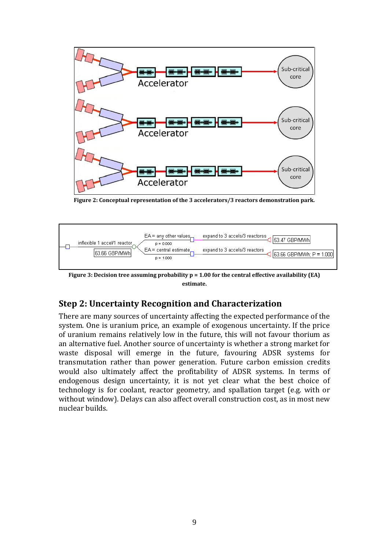

**Figure 2: Conceptual representation of the 3 accelerators/3 reactors demonstration park.**



<span id="page-9-0"></span>**Figure 3: Decision tree assuming probability p = 1.00 for the central effective availability (EA) estimate.**

# **Step 2: Uncertainty Recognition and Characterization**

There are many sources of uncertainty affecting the expected performance of the system. One is uranium price, an example of exogenous uncertainty. If the price of uranium remains relatively low in the future, this will not favour thorium as an alternative fuel. Another source of uncertainty is whether a strong market for waste disposal will emerge in the future, favouring ADSR systems for transmutation rather than power generation. Future carbon emission credits would also ultimately affect the profitability of ADSR systems. In terms of endogenous design uncertainty, it is not yet clear what the best choice of technology is for coolant, reactor geometry, and spallation target (e.g. with or without window). Delays can also affect overall construction cost, as in most new nuclear builds.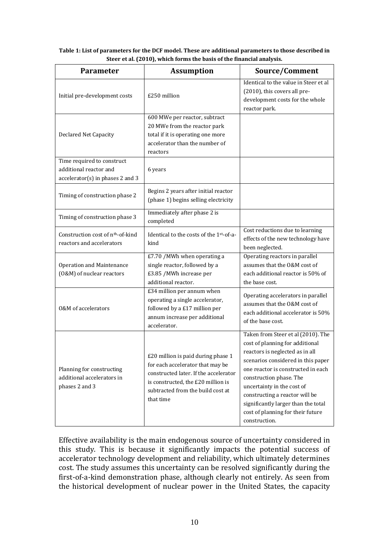| <b>Parameter</b>                                                                         | <b>Assumption</b>                                                                                                                                                                                       | Source/Comment                                                                                                                                                                                                                                                                                                                                                               |  |  |
|------------------------------------------------------------------------------------------|---------------------------------------------------------------------------------------------------------------------------------------------------------------------------------------------------------|------------------------------------------------------------------------------------------------------------------------------------------------------------------------------------------------------------------------------------------------------------------------------------------------------------------------------------------------------------------------------|--|--|
| Initial pre-development costs                                                            | £250 million                                                                                                                                                                                            | Identical to the value in Steer et al<br>(2010), this covers all pre-<br>development costs for the whole<br>reactor park.                                                                                                                                                                                                                                                    |  |  |
| <b>Declared Net Capacity</b>                                                             | 600 MWe per reactor, subtract<br>20 MWe from the reactor park<br>total if it is operating one more<br>accelerator than the number of<br>reactors                                                        |                                                                                                                                                                                                                                                                                                                                                                              |  |  |
| Time required to construct<br>additional reactor and<br>accelerator(s) in phases 2 and 3 | 6 years                                                                                                                                                                                                 |                                                                                                                                                                                                                                                                                                                                                                              |  |  |
| Timing of construction phase 2                                                           | Begins 2 years after initial reactor<br>(phase 1) begins selling electricity                                                                                                                            |                                                                                                                                                                                                                                                                                                                                                                              |  |  |
| Timing of construction phase 3                                                           | Immediately after phase 2 is<br>completed                                                                                                                                                               |                                                                                                                                                                                                                                                                                                                                                                              |  |  |
| Construction cost of n <sup>th</sup> -of-kind<br>reactors and accelerators               | Identical to the costs of the 1st-of-a-<br>kind                                                                                                                                                         | Cost reductions due to learning<br>effects of the new technology have<br>been neglected.                                                                                                                                                                                                                                                                                     |  |  |
| Operation and Maintenance<br>(O&M) of nuclear reactors                                   | £7.70 / MWh when operating a<br>single reactor, followed by a<br>£3.85 /MWh increase per<br>additional reactor.                                                                                         | Operating reactors in parallel<br>assumes that the O&M cost of<br>each additional reactor is 50% of<br>the base cost.                                                                                                                                                                                                                                                        |  |  |
| 0&M of accelerators                                                                      | $E34$ million per annum when<br>operating a single accelerator,<br>followed by a £17 million per<br>annum increase per additional<br>accelerator.                                                       | Operating accelerators in parallel<br>assumes that the O&M cost of<br>each additional accelerator is 50%<br>of the base cost.                                                                                                                                                                                                                                                |  |  |
| Planning for constructing<br>additional accelerators in<br>phases 2 and 3                | £20 million is paid during phase 1<br>for each accelerator that may be<br>constructed later. If the accelerator<br>is constructed, the £20 million is<br>subtracted from the build cost at<br>that time | Taken from Steer et al (2010). The<br>cost of planning for additional<br>reactors is neglected as in all<br>scenarios considered in this paper<br>one reactor is constructed in each<br>construction phase. The<br>uncertainty in the cost of<br>constructing a reactor will be<br>significantly larger than the total<br>cost of planning for their future<br>construction. |  |  |

<span id="page-10-0"></span>**Table 1: List of parameters for the DCF model. These are additional parameters to those described in Steer et al. (2010), which forms the basis of the financial analysis.**

Effective availability is the main endogenous source of uncertainty considered in this study. This is because it significantly impacts the potential success of accelerator technology development and reliability, which ultimately determines cost. The study assumes this uncertainty can be resolved significantly during the first-of-a-kind demonstration phase, although clearly not entirely. As seen from the historical development of nuclear power in the United States, the capacity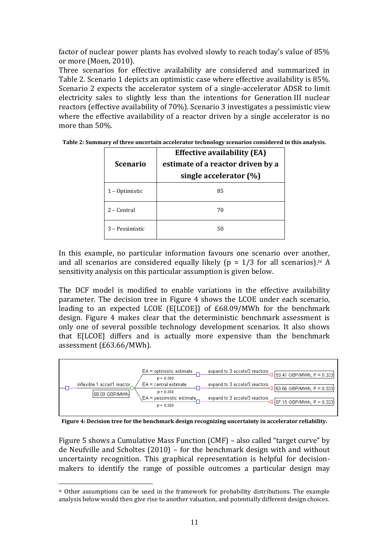factor of nuclear power plants has evolved slowly to reach today's value of 85% or more (Moen, 2010).

Three scenarios for effective availability are considered and summarized in [Table 2.](#page-11-0) Scenario 1 depicts an optimistic case where effective availability is 85%. Scenario 2 expects the accelerator system of a single-accelerator ADSR to limit electricity sales to slightly less than the intentions for Generation III nuclear reactors (effective availability of 70%). Scenario 3 investigates a pessimistic view where the effective availability of a reactor driven by a single accelerator is no more than 50%.

| <b>Scenario</b> | <b>Effective availability (EA)</b><br>estimate of a reactor driven by a<br>single accelerator (%) |  |  |
|-----------------|---------------------------------------------------------------------------------------------------|--|--|
| 1 - Optimistic  | 85                                                                                                |  |  |
| 2 - Central     | 70                                                                                                |  |  |
| 3 – Pessimistic | 50                                                                                                |  |  |

<span id="page-11-0"></span>**Table 2: Summary of three uncertain accelerator technology scenarios considered in this analysis.**

In this example, no particular information favours one scenario over another, and all scenarios are considered equally likely ( $p = 1/3$  for all scenarios).<sup>iv</sup> A sensitivity analysis on this particular assumption is given below.

The DCF model is modified to enable variations in the effective availability parameter. The decision tree in [Figure 4](#page-11-1) shows the LCOE under each scenario, leading to an expected LCOE (E[LCOE]) of £68.09/MWh for the benchmark design. [Figure 4](#page-11-1) makes clear that the deterministic benchmark assessment is only one of several possible technology development scenarios. It also shows that E[LCOE] differs and is actually more expensive than the benchmark assessment (£63.66/MWh).



<span id="page-11-1"></span>**Figure 4: Decision tree for the benchmark design recognizing uncertainty in accelerator reliability.**

[Figure 5](#page-12-0) shows a Cumulative Mass Function (CMF) – also called "target curve" by de Neufville and Scholtes (2010) – for the benchmark design with and without uncertainty recognition. This graphical representation is helpful for decisionmakers to identify the range of possible outcomes a particular design may

1

iv Other assumptions can be used in the framework for probability distributions. The example analysis below would then give rise to another valuation, and potentially different design choices.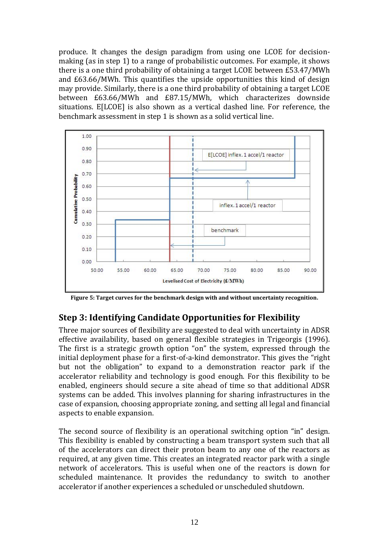produce. It changes the design paradigm from using one LCOE for decisionmaking (as in step 1) to a range of probabilistic outcomes. For example, it shows there is a one third probability of obtaining a target LCOE between £53.47/MWh and £63.66/MWh. This quantifies the upside opportunities this kind of design may provide. Similarly, there is a one third probability of obtaining a target LCOE between £63.66/MWh and £87.15/MWh, which characterizes downside situations. E[LCOE] is also shown as a vertical dashed line. For reference, the benchmark assessment in step 1 is shown as a solid vertical line.



<span id="page-12-0"></span>**Figure 5: Target curves for the benchmark design with and without uncertainty recognition.**

# **Step 3: Identifying Candidate Opportunities for Flexibility**

Three major sources of flexibility are suggested to deal with uncertainty in ADSR effective availability, based on general flexible strategies in Trigeorgis (1996). The first is a strategic growth option "on" the system, expressed through the initial deployment phase for a first-of-a-kind demonstrator. This gives the "right but not the obligation" to expand to a demonstration reactor park if the accelerator reliability and technology is good enough. For this flexibility to be enabled, engineers should secure a site ahead of time so that additional ADSR systems can be added. This involves planning for sharing infrastructures in the case of expansion, choosing appropriate zoning, and setting all legal and financial aspects to enable expansion.

The second source of flexibility is an operational switching option "in" design. This flexibility is enabled by constructing a beam transport system such that all of the accelerators can direct their proton beam to any one of the reactors as required, at any given time. This creates an integrated reactor park with a single network of accelerators. This is useful when one of the reactors is down for scheduled maintenance. It provides the redundancy to switch to another accelerator if another experiences a scheduled or unscheduled shutdown.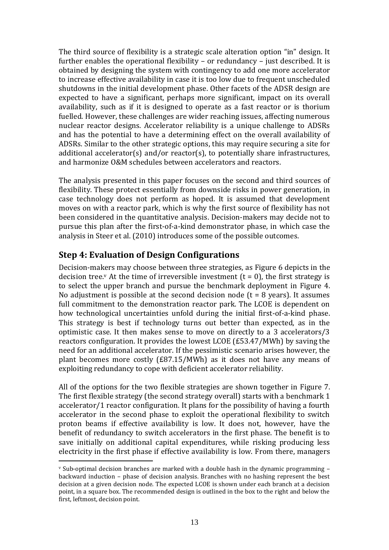The third source of flexibility is a strategic scale alteration option "in" design. It further enables the operational flexibility – or redundancy – just described. It is obtained by designing the system with contingency to add one more accelerator to increase effective availability in case it is too low due to frequent unscheduled shutdowns in the initial development phase. Other facets of the ADSR design are expected to have a significant, perhaps more significant, impact on its overall availability, such as if it is designed to operate as a fast reactor or is thorium fuelled. However, these challenges are wider reaching issues, affecting numerous nuclear reactor designs. Accelerator reliability is a unique challenge to ADSRs and has the potential to have a determining effect on the overall availability of ADSRs. Similar to the other strategic options, this may require securing a site for additional accelerator(s) and/or reactor(s), to potentially share infrastructures, and harmonize O&M schedules between accelerators and reactors.

The analysis presented in this paper focuses on the second and third sources of flexibility. These protect essentially from downside risks in power generation, in case technology does not perform as hoped. It is assumed that development moves on with a reactor park, which is why the first source of flexibility has not been considered in the quantitative analysis. Decision-makers may decide not to pursue this plan after the first-of-a-kind demonstrator phase, in which case the analysis in Steer et al. (2010) introduces some of the possible outcomes.

### **Step 4: Evaluation of Design Configurations**

1

Decision-makers may choose between three strategies, as [Figure 6](#page-14-0) depicts in the decision tree.<sup>v</sup> At the time of irreversible investment  $(t = 0)$ , the first strategy is to select the upper branch and pursue the benchmark deployment in [Figure 4.](#page-11-1) No adjustment is possible at the second decision node  $(t = 8 \text{ years})$ . It assumes full commitment to the demonstration reactor park. The LCOE is dependent on how technological uncertainties unfold during the initial first-of-a-kind phase. This strategy is best if technology turns out better than expected, as in the optimistic case. It then makes sense to move on directly to a 3 accelerators/3 reactors configuration. It provides the lowest LCOE (£53.47/MWh) by saving the need for an additional accelerator. If the pessimistic scenario arises however, the plant becomes more costly (£87.15/MWh) as it does not have any means of exploiting redundancy to cope with deficient accelerator reliability.

All of the options for the two flexible strategies are shown together in [Figure 7.](#page-14-1) The first flexible strategy (the second strategy overall) starts with a benchmark 1 accelerator/1 reactor configuration. It plans for the possibility of having a fourth accelerator in the second phase to exploit the operational flexibility to switch proton beams if effective availability is low. It does not, however, have the benefit of redundancy to switch accelerators in the first phase. The benefit is to save initially on additional capital expenditures, while risking producing less electricity in the first phase if effective availability is low. From there, managers

 $\overline{v}$  Sub-optimal decision branches are marked with a double hash in the dynamic programming – backward induction – phase of decision analysis. Branches with no hashing represent the best decision at a given decision node. The expected LCOE is shown under each branch at a decision point, in a square box. The recommended design is outlined in the box to the right and below the first, leftmost, decision point.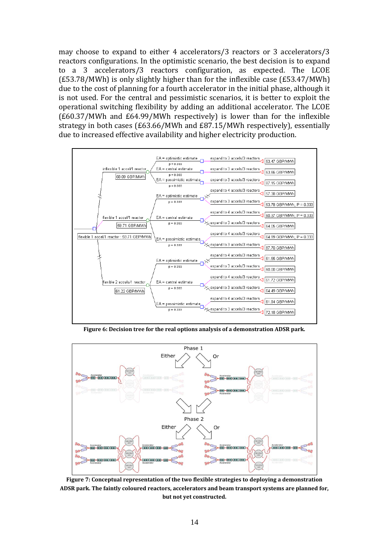may choose to expand to either 4 accelerators/3 reactors or 3 accelerators/3 reactors configurations. In the optimistic scenario, the best decision is to expand to a 3 accelerators/3 reactors configuration, as expected. The LCOE (£53.78/MWh) is only slightly higher than for the inflexible case (£53.47/MWh) due to the cost of planning for a fourth accelerator in the initial phase, although it is not used. For the central and pessimistic scenarios, it is better to exploit the operational switching flexibility by adding an additional accelerator. The LCOE (£60.37/MWh and £64.99/MWh respectively) is lower than for the inflexible strategy in both cases (£63.66/MWh and £87.15/MWh respectively), essentially due to increased effective availability and higher electricity production.



**Figure 6: Decision tree for the real options analysis of a demonstration ADSR park.**

<span id="page-14-0"></span>

<span id="page-14-1"></span>**Figure 7: Conceptual representation of the two flexible strategies to deploying a demonstration ADSR park. The faintly coloured reactors, accelerators and beam transport systems are planned for, but not yet constructed.**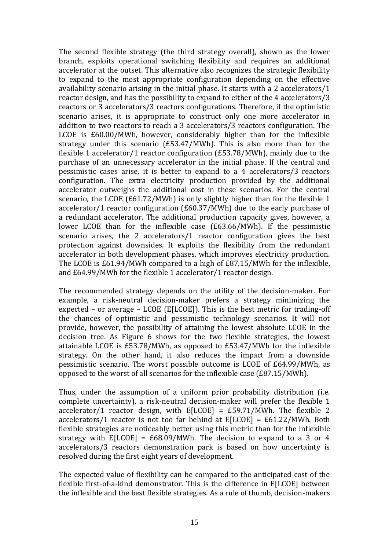The second flexible strategy (the third strategy overall), shown as the lower branch, exploits operational switching flexibility and requires an additional accelerator at the outset. This alternative also recognizes the strategic flexibility to expand to the most appropriate configuration depending on the effective availability scenario arising in the initial phase. It starts with a 2 accelerators/1 reactor design, and has the possibility to expand to either of the 4 accelerators/3 reactors or 3 accelerators/3 reactors configurations. Therefore, if the optimistic scenario arises, it is appropriate to construct only one more accelerator in addition to two reactors to reach a 3 accelerators/3 reactors configuration. The LCOE is £60.00/MWh, however, considerably higher than for the inflexible strategy under this scenario (£53.47/MWh). This is also more than for the flexible 1 accelerator/1 reactor configuration (£53.78/MWh), mainly due to the purchase of an unnecessary accelerator in the initial phase. If the central and pessimistic cases arise, it is better to expand to a 4 accelerators/3 reactors configuration. The extra electricity production provided by the additional accelerator outweighs the additional cost in these scenarios. For the central scenario, the LCOE (£61.72/MWh) is only slightly higher than for the flexible 1 accelerator/1 reactor configuration (£60.37/MWh) due to the early purchase of a redundant accelerator. The additional production capacity gives, however, a lower LCOE than for the inflexible case (£63.66/MWh). If the pessimistic scenario arises, the 2 accelerators/1 reactor configuration gives the best protection against downsides. It exploits the flexibility from the redundant accelerator in both development phases, which improves electricity production. The LCOE is £61.94/MWh compared to a high of £87.15/MWh for the inflexible, and £64.99/MWh for the flexible 1 accelerator/1 reactor design.

The recommended strategy depends on the utility of the decision-maker. For example, a risk-neutral decision-maker prefers a strategy minimizing the expected – or average – LCOE (E[LCOE]). This is the best metric for trading-off the chances of optimistic and pessimistic technology scenarios. It will not provide, however, the possibility of attaining the lowest absolute LCOE in the decision tree. As [Figure 6](#page-14-0) shows for the two flexible strategies, the lowest attainable LCOE is £53.78/MWh, as opposed to £53.47/MWh for the inflexible strategy. On the other hand, it also reduces the impact from a downside pessimistic scenario. The worst possible outcome is LCOE of £64.99/MWh, as opposed to the worst of all scenarios for the inflexible case (£87.15/MWh).

Thus, under the assumption of a uniform prior probability distribution (i.e. complete uncertainty), a risk-neutral decision-maker will prefer the flexible 1 accelerator/1 reactor design, with  $E[LCOE] = E59.71/MWh$ . The flexible 2 accelerators/1 reactor is not too far behind at  $E[LCOE] = \frac{£61.22}{MWh}$ . Both flexible strategies are noticeably better using this metric than for the inflexible strategy with  $E[LCOE] = \frac{E}{68.09}$ /MWh. The decision to expand to a 3 or 4 accelerators/3 reactors demonstration park is based on how uncertainty is resolved during the first eight years of development.

The expected value of flexibility can be compared to the anticipated cost of the flexible first-of-a-kind demonstrator. This is the difference in E[LCOE] between the inflexible and the best flexible strategies. As a rule of thumb, decision-makers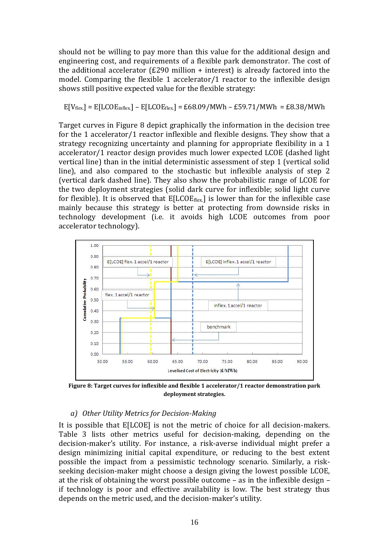should not be willing to pay more than this value for the additional design and engineering cost, and requirements of a flexible park demonstrator. The cost of the additional accelerator (£290 million + interest) is already factored into the model. Comparing the flexible 1 accelerator/1 reactor to the inflexible design shows still positive expected value for the flexible strategy:

#### $E[V_{flex}] = E[LCOE_{inflex}] - E[LCOE_{flex}] = E68.09/MWh - E59.71/MWh = E8.38/MWh$

Target curves in [Figure 8](#page-16-0) depict graphically the information in the decision tree for the 1 accelerator/1 reactor inflexible and flexible designs. They show that a strategy recognizing uncertainty and planning for appropriate flexibility in a 1 accelerator/1 reactor design provides much lower expected LCOE (dashed light vertical line) than in the initial deterministic assessment of step 1 (vertical solid line), and also compared to the stochastic but inflexible analysis of step 2 (vertical dark dashed line). They also show the probabilistic range of LCOE for the two deployment strategies (solid dark curve for inflexible; solid light curve for flexible). It is observed that  $E[LCOE_{flex}]$  is lower than for the inflexible case mainly because this strategy is better at protecting from downside risks in technology development (i.e. it avoids high LCOE outcomes from poor accelerator technology).



<span id="page-16-0"></span>**Figure 8: Target curves for inflexible and flexible 1 accelerator/1 reactor demonstration park deployment strategies.**

#### *a) Other Utility Metrics for Decision-Making*

It is possible that E[LCOE] is not the metric of choice for all decision-makers. [Table 3](#page-17-0) lists other metrics useful for decision-making, depending on the decision-maker's utility. For instance, a risk-averse individual might prefer a design minimizing initial capital expenditure, or reducing to the best extent possible the impact from a pessimistic technology scenario. Similarly, a riskseeking decision-maker might choose a design giving the lowest possible LCOE, at the risk of obtaining the worst possible outcome – as in the inflexible design – if technology is poor and effective availability is low. The best strategy thus depends on the metric used, and the decision-maker's utility.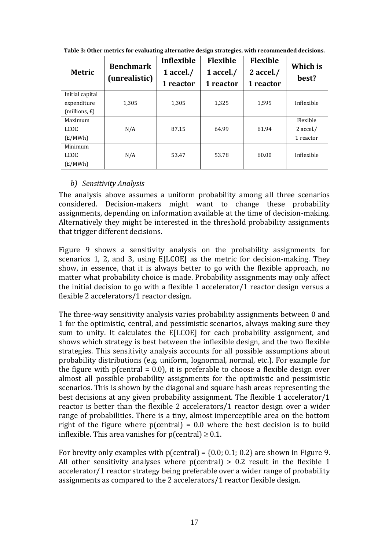| <b>Metric</b>                                     | <b>Benchmark</b><br>(unrealistic) | Inflexible<br>1 accel. $/$<br>1 reactor | <b>Flexible</b><br>1 accel./<br>1 reactor | <b>Flexible</b><br>$2$ accel./<br>1 reactor | Which is<br>best?                  |
|---------------------------------------------------|-----------------------------------|-----------------------------------------|-------------------------------------------|---------------------------------------------|------------------------------------|
| Initial capital<br>expenditure<br>$(millions, E)$ | 1,305                             | 1,305                                   | 1,325                                     | 1,595                                       | Inflexible                         |
| Maximum<br><b>LCOE</b><br>(E/MWh)                 | N/A                               | 87.15                                   | 64.99                                     | 61.94                                       | Flexible<br>2 accel./<br>1 reactor |
| Minimum<br><b>LCOE</b><br>(E/MWh)                 | N/A                               | 53.47                                   | 53.78                                     | 60.00                                       | Inflexible                         |

<span id="page-17-0"></span>**Table 3: Other metrics for evaluating alternative design strategies, with recommended decisions.**

#### *b) Sensitivity Analysis*

The analysis above assumes a uniform probability among all three scenarios considered. Decision-makers might want to change these probability assignments, depending on information available at the time of decision-making. Alternatively they might be interested in the threshold probability assignments that trigger different decisions.

[Figure 9](#page-18-0) shows a sensitivity analysis on the probability assignments for scenarios 1, 2, and 3, using E[LCOE] as the metric for decision-making. They show, in essence, that it is always better to go with the flexible approach, no matter what probability choice is made. Probability assignments may only affect the initial decision to go with a flexible 1 accelerator/1 reactor design versus a flexible 2 accelerators/1 reactor design.

The three-way sensitivity analysis varies probability assignments between 0 and 1 for the optimistic, central, and pessimistic scenarios, always making sure they sum to unity. It calculates the E[LCOE] for each probability assignment, and shows which strategy is best between the inflexible design, and the two flexible strategies. This sensitivity analysis accounts for all possible assumptions about probability distributions (e.g. uniform, lognormal, normal, etc.). For example for the figure with p(central =  $0.0$ ), it is preferable to choose a flexible design over almost all possible probability assignments for the optimistic and pessimistic scenarios. This is shown by the diagonal and square hash areas representing the best decisions at any given probability assignment. The flexible 1 accelerator/1 reactor is better than the flexible 2 accelerators/1 reactor design over a wider range of probabilities. There is a tiny, almost imperceptible area on the bottom right of the figure where  $p$ (central) = 0.0 where the best decision is to build inflexible. This area vanishes for  $p$  (central)  $\geq 0.1$ .

For brevity only examples with  $p$  (central) = {0.0; 0.1; 0.2} are shown in [Figure 9.](#page-18-0) All other sensitivity analyses where p(central)  $> 0.2$  result in the flexible 1 accelerator/1 reactor strategy being preferable over a wider range of probability assignments as compared to the 2 accelerators/1 reactor flexible design.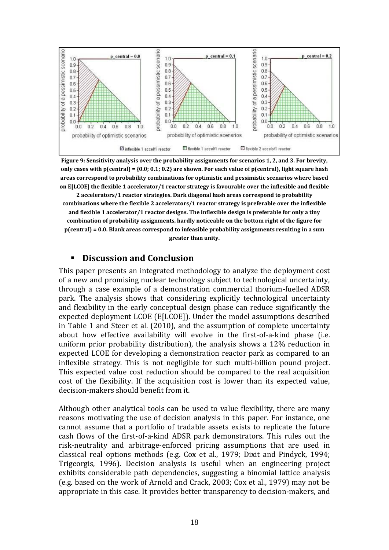

<span id="page-18-0"></span>**Figure 9: Sensitivity analysis over the probability assignments for scenarios 1, 2, and 3. For brevity, only cases with p(central) = {0.0; 0.1; 0.2} are shown. For each value of p(central), light square hash areas correspond to probability combinations for optimistic and pessimistic scenarios where based on E[LCOE] the flexible 1 accelerator/1 reactor strategy is favourable over the inflexible and flexible** 

**2 accelerators/1 reactor strategies. Dark diagonal hash areas correspond to probability combinations where the flexible 2 accelerators/1 reactor strategy is preferable over the inflexible and flexible 1 accelerator/1 reactor designs. The inflexible design is preferable for only a tiny combination of probability assignments, hardly noticeable on the bottom right of the figure for p(central) = 0.0. Blank areas correspond to infeasible probability assignments resulting in a sum greater than unity.**

#### **Discussion and Conclusion**

This paper presents an integrated methodology to analyze the deployment cost of a new and promising nuclear technology subject to technological uncertainty, through a case example of a demonstration commercial thorium-fuelled ADSR park. The analysis shows that considering explicitly technological uncertainty and flexibility in the early conceptual design phase can reduce significantly the expected deployment LCOE (E[LCOE]). Under the model assumptions described in [Table 1](#page-10-0) and Steer et al. (2010), and the assumption of complete uncertainty about how effective availability will evolve in the first-of-a-kind phase (i.e. uniform prior probability distribution), the analysis shows a 12% reduction in expected LCOE for developing a demonstration reactor park as compared to an inflexible strategy. This is not negligible for such multi-billion pound project. This expected value cost reduction should be compared to the real acquisition cost of the flexibility. If the acquisition cost is lower than its expected value, decision-makers should benefit from it.

Although other analytical tools can be used to value flexibility, there are many reasons motivating the use of decision analysis in this paper. For instance, one cannot assume that a portfolio of tradable assets exists to replicate the future cash flows of the first-of-a-kind ADSR park demonstrators. This rules out the risk-neutrality and arbitrage-enforced pricing assumptions that are used in classical real options methods (e.g. Cox et al., 1979; Dixit and Pindyck, 1994; Trigeorgis, 1996). Decision analysis is useful when an engineering project exhibits considerable path dependencies, suggesting a binomial lattice analysis (e.g. based on the work of Arnold and Crack, 2003; Cox et al., 1979) may not be appropriate in this case. It provides better transparency to decision-makers, and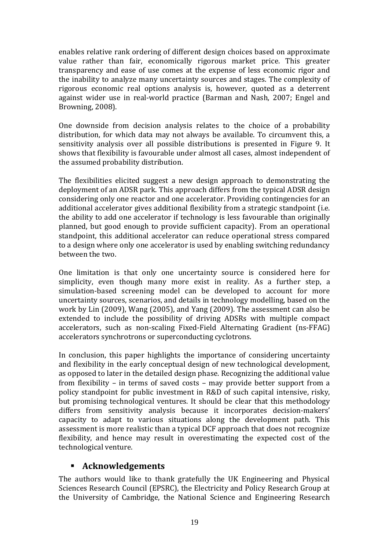enables relative rank ordering of different design choices based on approximate value rather than fair, economically rigorous market price. This greater transparency and ease of use comes at the expense of less economic rigor and the inability to analyze many uncertainty sources and stages. The complexity of rigorous economic real options analysis is, however, quoted as a deterrent against wider use in real-world practice (Barman and Nash, 2007; Engel and Browning, 2008).

One downside from decision analysis relates to the choice of a probability distribution, for which data may not always be available. To circumvent this, a sensitivity analysis over all possible distributions is presented in [Figure 9.](#page-18-0) It shows that flexibility is favourable under almost all cases, almost independent of the assumed probability distribution.

The flexibilities elicited suggest a new design approach to demonstrating the deployment of an ADSR park. This approach differs from the typical ADSR design considering only one reactor and one accelerator. Providing contingencies for an additional accelerator gives additional flexibility from a strategic standpoint (i.e. the ability to add one accelerator if technology is less favourable than originally planned, but good enough to provide sufficient capacity). From an operational standpoint, this additional accelerator can reduce operational stress compared to a design where only one accelerator is used by enabling switching redundancy between the two.

One limitation is that only one uncertainty source is considered here for simplicity, even though many more exist in reality. As a further step, a simulation-based screening model can be developed to account for more uncertainty sources, scenarios, and details in technology modelling, based on the work by Lin (2009), Wang (2005), and Yang (2009). The assessment can also be extended to include the possibility of driving ADSRs with multiple compact accelerators, such as non-scaling Fixed-Field Alternating Gradient (ns-FFAG) accelerators synchrotrons or superconducting cyclotrons.

In conclusion, this paper highlights the importance of considering uncertainty and flexibility in the early conceptual design of new technological development, as opposed to later in the detailed design phase. Recognizing the additional value from flexibility – in terms of saved costs – may provide better support from a policy standpoint for public investment in R&D of such capital intensive, risky, but promising technological ventures. It should be clear that this methodology differs from sensitivity analysis because it incorporates decision-makers' capacity to adapt to various situations along the development path. This assessment is more realistic than a typical DCF approach that does not recognize flexibility, and hence may result in overestimating the expected cost of the technological venture.

#### **Acknowledgements**

The authors would like to thank gratefully the UK Engineering and Physical Sciences Research Council (EPSRC), the Electricity and Policy Research Group at the University of Cambridge, the National Science and Engineering Research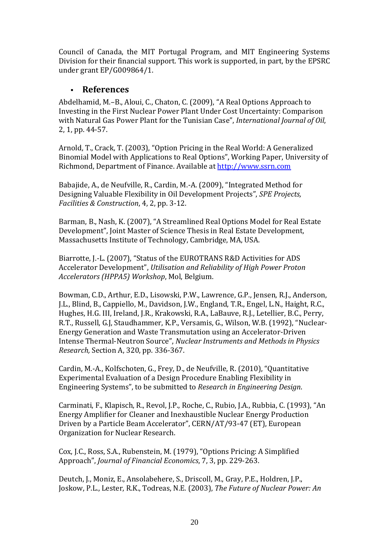Council of Canada, the MIT Portugal Program, and MIT Engineering Systems Division for their financial support. This work is supported, in part, by the EPSRC under grant EP/G009864/1.

#### **References**

Abdelhamid, M.–B., Aloui, C., Chaton, C. (2009), "A Real Options Approach to Investing in the First Nuclear Power Plant Under Cost Uncertainty: Comparison with Natural Gas Power Plant for the Tunisian Case", *International Journal of Oil*, 2, 1, pp. 44-57.

Arnold, T., Crack, T. (2003), "Option Pricing in the Real World: A Generalized Binomial Model with Applications to Real Options", Working Paper, University of Richmond, Department of Finance. Available a[t http://www.ssrn.com](http://www.ssrn.com/)

Babajide, A., de Neufville, R., Cardin, M.-A. (2009), "Integrated Method for Designing Valuable Flexibility in Oil Development Projects", *SPE Projects, Facilities & Construction*, 4, 2, pp. 3-12.

Barman, B., Nash, K. (2007), "A Streamlined Real Options Model for Real Estate Development", Joint Master of Science Thesis in Real Estate Development, Massachusetts Institute of Technology, Cambridge, MA, USA.

Biarrotte, J.-L. (2007), "Status of the EUROTRANS R&D Activities for ADS Accelerator Development", *Utilisation and Reliability of High Power Proton Accelerators (HPPA5) Workshop*, Mol, Belgium.

Bowman, C.D., Arthur, E.D., Lisowski, P.W., Lawrence, G.P., Jensen, R.J., Anderson, J.L., Blind, B., Cappiello, M., Davidson, J.W., England, T.R., Engel, L.N., Haight, R.C., Hughes, H.G. III, Ireland, J.R., Krakowski, R.A., LaBauve, R.J., Letellier, B.C., Perry, R.T., Russell, G.J, Staudhammer, K.P., Versamis, G., Wilson, W.B. (1992), "Nuclear-Energy Generation and Waste Transmutation using an Accelerator-Driven Intense Thermal-Neutron Source", *Nuclear Instruments and Methods in Physics Research,* Section A, 320, pp. 336-367.

Cardin, M.-A., Kolfschoten, G., Frey, D., de Neufville, R. (2010), "Quantitative Experimental Evaluation of a Design Procedure Enabling Flexibility in Engineering Systems", to be submitted to *Research in Engineering Design*.

Carminati, F., Klapisch, R., Revol, J.P., Roche, C., Rubio, J.A., Rubbia, C. (1993), "An Energy Amplifier for Cleaner and Inexhaustible Nuclear Energy Production Driven by a Particle Beam Accelerator", CERN/AT/93-47 (ET), European Organization for Nuclear Research.

Cox, J.C., Ross, S.A., Rubenstein, M. (1979), "Options Pricing: A Simplified Approach", *Journal of Financial Economics*, 7, 3, pp. 229-263.

Deutch, J., Moniz, E., Ansolabehere, S., Driscoll, M., Gray, P.E., Holdren, J.P., Joskow, P.L., Lester, R.K., Todreas, N.E. (2003), *The Future of Nuclear Power: An*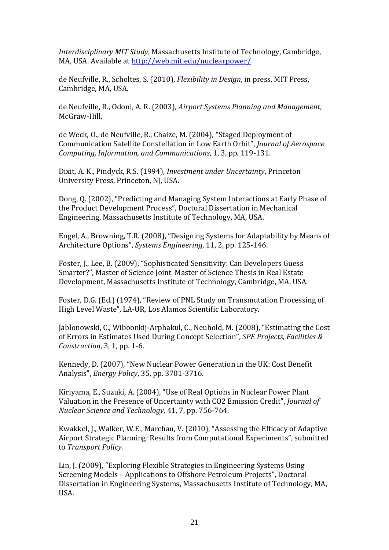*Interdisciplinary MIT Study*, Massachusetts Institute of Technology, Cambridge, MA, USA. Available at <http://web.mit.edu/nuclearpower/>

de Neufville, R., Scholtes, S. (2010), *Flexibility in Design*, in press, MIT Press, Cambridge, MA, USA.

de Neufville, R., Odoni, A. R. (2003), *Airport Systems Planning and Management*, McGraw-Hill.

de Weck, O., de Neufville, R., Chaize, M. (2004), "Staged Deployment of Communication Satellite Constellation in Low Earth Orbit", *Journal of Aerospace Computing, Information, and Communications*, 1, 3, pp. 119-131.

Dixit, A. K., Pindyck, R.S. (1994), *Investment under Uncertainty*, Princeton University Press, Princeton, NJ, USA.

Dong, Q. (2002), "Predicting and Managing System Interactions at Early Phase of the Product Development Process", Doctoral Dissertation in Mechanical Engineering, Massachusetts Institute of Technology, MA, USA.

Engel, A., Browning, T.R. (2008), "Designing Systems for Adaptability by Means of Architecture Options", *Systems Engineering*, 11, 2, pp. 125-146.

Foster, J., Lee, B. (2009), "Sophisticated Sensitivity: Can Developers Guess Smarter?", Master of Science Joint Master of Science Thesis in Real Estate Development, Massachusetts Institute of Technology, Cambridge, MA, USA.

Foster, D.G. (Ed.) (1974), "Review of PNL Study on Transmutation Processing of High Level Waste", LA-UR, Los Alamos Scientific Laboratory.

Jablonowski, C., Wiboonkij-Arphakul, C., Neuhold, M. (2008), "Estimating the Cost of Errors in Estimates Used During Concept Selection", *SPE Projects, Facilities & Construction*, 3, 1, pp. 1-6.

Kennedy, D. (2007), "New Nuclear Power Generation in the UK: Cost Benefit Analysis", *Energy Policy*, 35, pp. 3701-3716.

Kiriyama, E., Suzuki, A. (2004), "Use of Real Options in Nuclear Power Plant Valuation in the Presence of Uncertainty with CO2 Emission Credit", *Journal of Nuclear Science and Technology*, 41, 7, pp. 756-764.

Kwakkel, J., Walker, W.E., Marchau, V. (2010), "Assessing the Efficacy of Adaptive Airport Strategic Planning: Results from Computational Experiments", submitted to *Transport Policy*.

Lin, J. (2009), "Exploring Flexible Strategies in Engineering Systems Using Screening Models – Applications to Offshore Petroleum Projects", Doctoral Dissertation in Engineering Systems, Massachusetts Institute of Technology, MA, USA.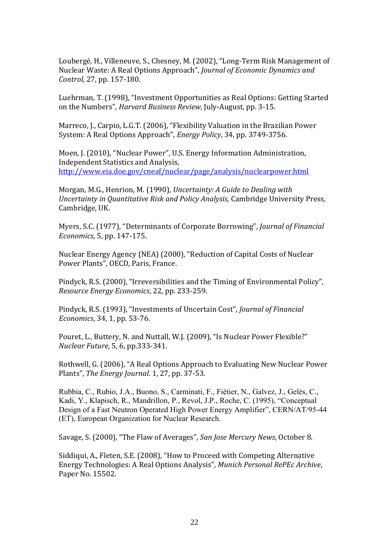Loubergé, H., Villeneuve, S., Chesney, M. (2002), "Long-Term Risk Management of Nuclear Waste: A Real Options Approach", *Journal of Economic Dynamics and Control*, 27, pp. 157-180.

Luehrman, T. (1998), "Investment Opportunities as Real Options: Getting Started on the Numbers", *Harvard Business Review*, July-August, pp. 3-15.

Marreco, J., Carpio, L.G.T. (2006), "Flexibility Valuation in the Brazilian Power System: A Real Options Approach", *Energy Policy*, 34, pp. 3749-3756.

Moen, J. (2010), "Nuclear Power", U.S. Energy Information Administration, Independent Statistics and Analysis, <http://www.eia.doe.gov/cneaf/nuclear/page/analysis/nuclearpower.html>

Morgan, M.G., Henrion, M. (1990), *Uncertainty: A Guide to Dealing with Uncertainty in Quantitative Risk and Policy Analysis*, Cambridge University Press, Cambridge, UK.

Myers, S.C. (1977), "Determinants of Corporate Borrowing", *Journal of Financial Economics*, 5, pp. 147-175.

Nuclear Energy Agency (NEA) (2000), "Reduction of Capital Costs of Nuclear Power Plants", OECD, Paris, France.

Pindyck, R.S. (2000), "Irreversibilities and the Timing of Environmental Policy", *Resource Energy Economics*, 22, pp. 233-259.

Pindyck, R.S. (1993), "Investments of Uncertain Cost", *Journal of Financial Economics*, 34, 1, pp. 53-76.

Pouret, L., Buttery, N. and Nuttall, W.J. (2009), "Is Nuclear Power Flexible?" *Nuclear Future*, 5, 6, pp.333-341.

Rothwell, G. (2006), "A Real Options Approach to Evaluating New Nuclear Power Plants", *The Energy Journal*. 1, 27, pp. 37-53.

Rubbia, C., Rubio, J.A., Buono, S., Carminati, F., Fiétier, N., Galvez, J., Gelès, C., Kadi, Y., Klapisch, R., Mandrillon, P., Revol, J.P., Roche, C. (1995), "Conceptual Design of a Fast Neutron Operated High Power Energy Amplifier", CERN/AT/95-44 (ET), European Organization for Nuclear Research.

Savage, S. (2000), "The Flaw of Averages", *San Jose Mercury News*, October 8.

Siddiqui, A., Fleten, S.E. (2008), "How to Proceed with Competing Alternative Energy Technologies: A Real Options Analysis", *Munich Personal RePEc Archive*, Paper No. 15502.